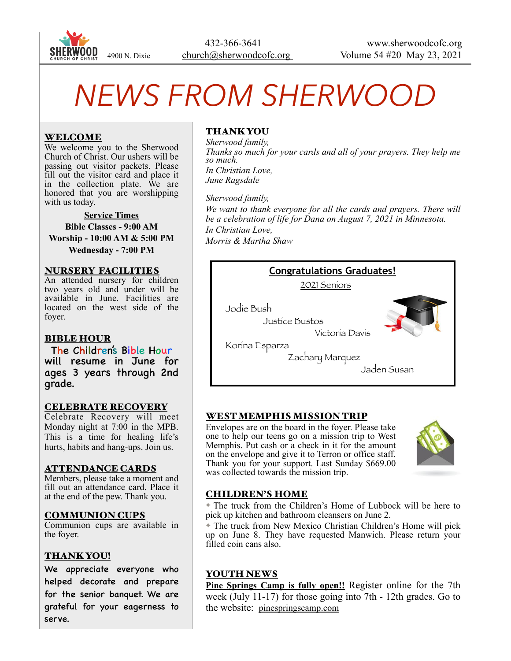

# *NEWS FROM SHERWOOD*

## WELCOME

We welcome you to the Sherwood Church of Christ. Our ushers will be passing out visitor packets. Please fill out the visitor card and place it in the collection plate. We are honored that you are worshipping with us today.

**Service Times Bible Classes - 9:00 AM Worship - 10:00 AM & 5:00 PM Wednesday - 7:00 PM** 

#### NURSERY FACILITIES

An attended nursery for children two years old and under will be available in June. Facilities are located on the west side of the foyer.

#### BIBLE HOUR

The Children's Bible Hour will resume in June for ages 3 years through 2nd grade.

#### CELEBRATE RECOVERY

Celebrate Recovery will meet Monday night at 7:00 in the MPB. This is a time for healing life's hurts, habits and hang-ups. Join us.

#### ATTENDANCE CARDS

Members, please take a moment and fill out an attendance card. Place it at the end of the pew. Thank you.

#### COMMUNION CUPS

Communion cups are available in the foyer.

#### THANK YOU!

We appreciate everyone who helped decorate and prepare for the senior banquet. We are grateful for your eagerness to serve.

#### THANK YOU

*Sherwood family, Thanks so much for your cards and all of your prayers. They help me so much. In Christian Love, June Ragsdale* 

*Sherwood family, We want to thank everyone for all the cards and prayers. There will be a celebration of life for Dana on August 7, 2021 in Minnesota. In Christian Love, Morris & Martha Shaw*



# WEST MEMPHIS MISSION TRIP

Envelopes are on the board in the foyer. Please take one to help our teens go on a mission trip to West Memphis. Put cash or a check in it for the amount on the envelope and give it to Terron or office staff. Thank you for your support. Last Sunday \$669.00 was collected towards the mission trip.



#### CHILDREN'S HOME

✦ The truck from the Children's Home of Lubbock will be here to pick up kitchen and bathroom cleansers on June 2.

✦ The truck from New Mexico Christian Children's Home will pick up on June 8. They have requested Manwich. Please return your filled coin cans also.

#### YOUTH NEWS

**Pine Springs Camp is fully open!!** Register online for the 7th week (July 11-17) for those going into 7th - 12th grades. Go to the website: [pinespringscamp.com](http://pinespringscamp.com)